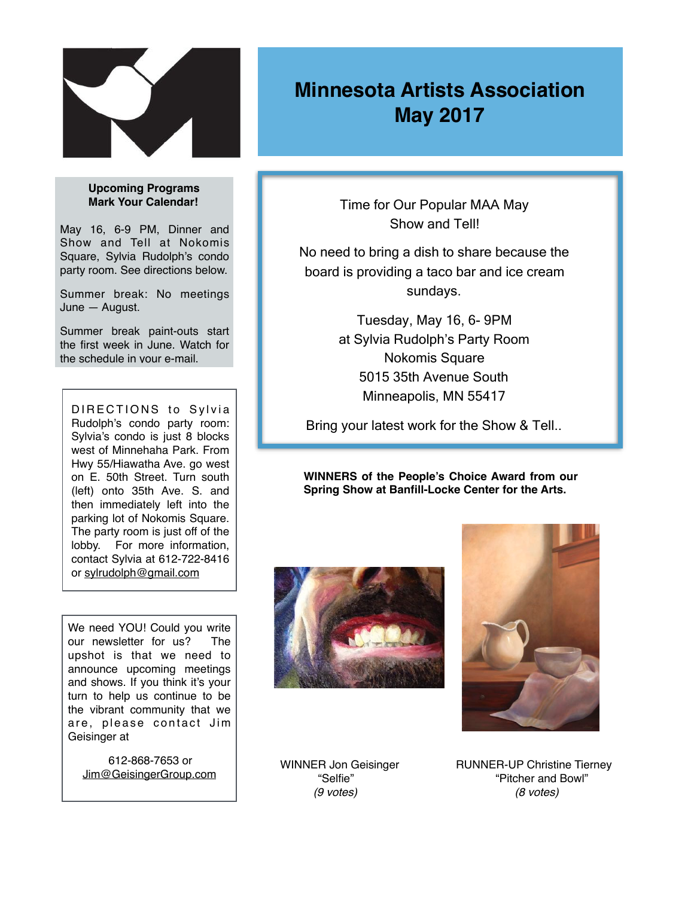

## **Upcoming Programs Mark Your Calendar!**

May 16, 6-9 PM, Dinner and Show and Tell at Nokomis Square, Sylvia Rudolph's condo party room. See directions below.

Summer break: No meetings June — August.

Summer break paint-outs start the first week in June. Watch for the schedule in your e-mail.

DIRECTIONS to Sylvia Rudolph's condo party room: Sylvia's condo is just 8 blocks west of Minnehaha Park. From Hwy 55/Hiawatha Ave. go west on E. 50th Street. Turn south (left) onto 35th Ave. S. and then immediately left into the parking lot of Nokomis Square. The party room is just off of the lobby. For more information, contact Sylvia at 612-722-8416 or [sylrudolph@gmail.com](mailto:sylrudolph@gmail.com)

We need YOU! Could you write our newsletter for us? The upshot is that we need to announce upcoming meetings and shows. If you think it's your turn to help us continue to be the vibrant community that we are, please contact Jim Geisinger at

 612-868-7653 or [Jim@GeisingerGroup.com](mailto:Jim@GeisingerGroup.com)

## **Minnesota Artists Association May 2017**

Time for Our Popular MAA May Show and Tell!

No need to bring a dish to share because the board is providing a taco bar and ice cream sundays.

> Tuesday, May 16, 6- 9PM at Sylvia Rudolph's Party Room Nokomis Square 5015 35th Avenue South Minneapolis, MN 55417

Bring your latest work for the Show & Tell..

**WINNERS of the People's Choice Award from our Spring Show at Banfill-Locke Center for the Arts.**





WINNER Jon Geisinger **RUNNER-UP Christine Tierney**<br>"Selfie" **Pitcher and Bowl**" "Pitcher and Bowl"  *(9 votes) (8 votes)*